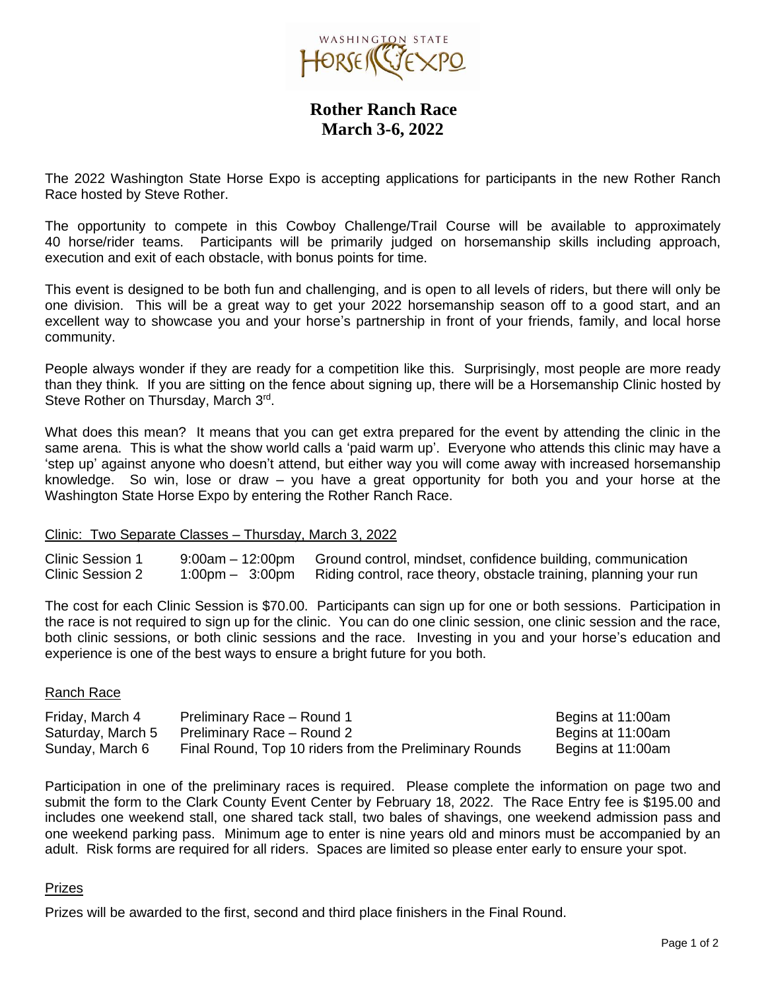

 **Rother Ranch Race March 3-6, 2022**

The 2022 Washington State Horse Expo is accepting applications for participants in the new Rother Ranch Race hosted by Steve Rother.

The opportunity to compete in this Cowboy Challenge/Trail Course will be available to approximately 40 horse/rider teams. Participants will be primarily judged on horsemanship skills including approach, execution and exit of each obstacle, with bonus points for time.

This event is designed to be both fun and challenging, and is open to all levels of riders, but there will only be one division. This will be a great way to get your 2022 horsemanship season off to a good start, and an excellent way to showcase you and your horse's partnership in front of your friends, family, and local horse community.

People always wonder if they are ready for a competition like this. Surprisingly, most people are more ready than they think. If you are sitting on the fence about signing up, there will be a Horsemanship Clinic hosted by Steve Rother on Thursday, March 3rd.

What does this mean? It means that you can get extra prepared for the event by attending the clinic in the same arena. This is what the show world calls a 'paid warm up'. Everyone who attends this clinic may have a 'step up' against anyone who doesn't attend, but either way you will come away with increased horsemanship knowledge. So win, lose or draw – you have a great opportunity for both you and your horse at the Washington State Horse Expo by entering the Rother Ranch Race.

## Clinic: Two Separate Classes – Thursday, March 3, 2022

Clinic Session 1 9:00am – 12:00pm Ground control, mindset, confidence building, communication Clinic Session 2 1:00pm – 3:00pm Riding control, race theory, obstacle training, planning your run

The cost for each Clinic Session is \$70.00. Participants can sign up for one or both sessions. Participation in the race is not required to sign up for the clinic. You can do one clinic session, one clinic session and the race, both clinic sessions, or both clinic sessions and the race. Investing in you and your horse's education and experience is one of the best ways to ensure a bright future for you both.

## Ranch Race

| Friday, March 4   | Preliminary Race - Round 1                             | Begins at 11:00am |
|-------------------|--------------------------------------------------------|-------------------|
| Saturday, March 5 | Preliminary Race - Round 2                             | Begins at 11:00am |
| Sunday, March 6   | Final Round, Top 10 riders from the Preliminary Rounds | Begins at 11:00am |

Participation in one of the preliminary races is required. Please complete the information on page two and submit the form to the Clark County Event Center by February 18, 2022. The Race Entry fee is \$195.00 and includes one weekend stall, one shared tack stall, two bales of shavings, one weekend admission pass and one weekend parking pass. Minimum age to enter is nine years old and minors must be accompanied by an adult. Risk forms are required for all riders. Spaces are limited so please enter early to ensure your spot.

## Prizes

Prizes will be awarded to the first, second and third place finishers in the Final Round.